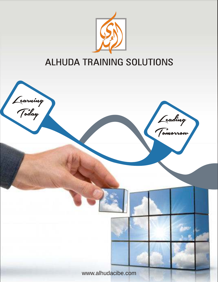

# **ALHUDA TRAINING SOLUTIONS**

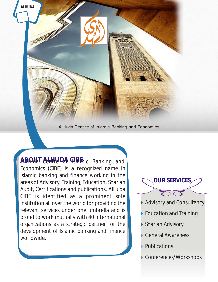AlHuda Centre of Islamic Banking and Economics

ABOUAT CHATHUDA CIBE ic Banking and Economics (CIBE) is a recognized name in Islamic banking and finance working in the areas of Advisory, Training, Education, Shariah Audit, Certifications and publications. AlHuda CIBE is identified as a prominent sole institution all over the world for providing the relevant services under one umbrella and is proud to work mutually with 40 international organizations as a strategic partner for the development of Islamic banking and finance worldwide.

**ALHUDA**

**OUR SERVICES**

- Advisory and Consultancy
- Education and Training
- Shariah Advisory
- General Awareness
- Publications
- Conferences/Workshops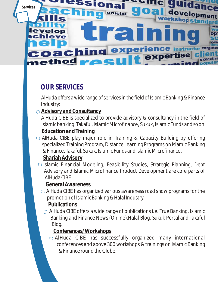

## **OUR SERVICES**

AlHuda offers a wide range of services in the field of Islamic Banking & Finance Industry:

**Advisory and Consultancy**

AlHuda CIBE is specialized to provide advisory & consultancy in the field of Islamic banking, Takaful, Islamic Microfinance, Sukuk, Islamic Funds and so on. **Education and Training**

- AlHuda CIBE play major role in Training & Capacity Building by offering specialized Training Program, Distance Learning Programs on Islamic Banking & Finance, Takaful, Sukuk, Islamic Funds and Islamic Microfinance. **Shariah Advisory**
- $\Box$  Islamic Financial Modeling, Feasibility Studies, Strategic Planning, Debt Advisory and Islamic Microfinance Product Development are core parts of AlHuda CIBE.

**General Awareness**

 $\Box$  AlHuda CIBE has organized various awareness road show programs for the promotion of Islamic Banking & Halal Industry.

**Publications**

 $\Box$  AlHuda CIBE offers a wide range of publications i.e. True Banking, Islamic Banking and Finance News (Online),Halal Blog, Sukuk Portal and Takaful Blog.

**Conferences/Workshops**

AlHuda CIBE has successfully organized many international conferences and above 300 workshops & trainings on Islamic Banking & Finance round the Globe.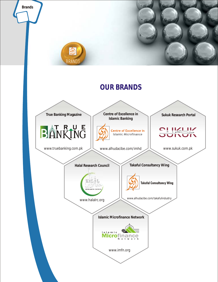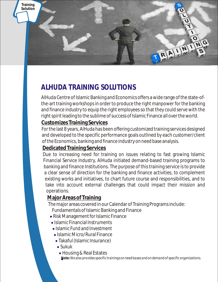

## **ALHUDA TRAINING SOLUTIONS**

AlHuda Centre of Islamic Banking and Economics offers a wide range of the state-ofthe-art training workshops in order to produce the right manpower for the banking and finance industry to equip the right employees so that they could serve with the right spirit leading to the sublime of success of Islamic Finance all over the world.

#### **Customizes Training Services**

For the last 8 years, AlHuda has been offering customized training services designed and developed to the specific performance goals outlined by each customer/client of the Economics, banking and finance industry on need base analysis.

#### **Dedicated Training Services**

Due to increasing need for training on issues relating to fast growing Islamic Financial Service Industry, AlHuda initiated demand-based training programs to banking and finance Institutions. The purpose of this training service is to provide a clear sense of direction for the banking and finance activities, to complement existing works and initiatives, to chart future course and responsibilities, and to take into account external challenges that could impact their mission and operations.

#### **Major Areas of Training**

The major areas covered in our Calendar of Training Programs include:

- Fundamentals of Islamic Banking and Finance
- Risk Management for Islamic Finance
- Islamic Financial Instruments
- Islamic Fund and Investment
- Islamic Micro/Rural Finance
- Takaful (Islamic Insurance)
- Sukuk
- Housing & Real Estates
- **Note:***We also provides specific trainings on need bases and on demand of specific organizations.*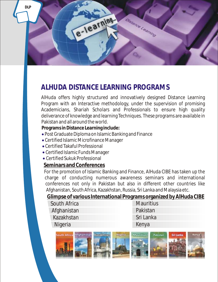

### **ALHUDA DISTANCE LEARNING PROGRAMS**

AlHuda offers highly structured and innovatively designed Distance Learning Program with an Interactive methodology, under the supervision of promising Academicians, Shariah Scholars and Professionals to ensure high quality deliverance of knowledge and learning Techniques. These programs are available in Pakistan and all around the world.

**Programs in Distance Learning include:**

- Post Graduate Diploma on Islamic Banking and Finance
- Certified Islamic Microfinance Manager
- Certified Takaful Professional
- Certified Islamic Funds Manager
- Certified Sukuk Professional

#### **Seminars and Conferences**

For the promotion of Islamic Banking and Finance, AlHuda CIBE has taken up the charge of conducting numerous awareness seminars and international conferences not only in Pakistan but also in different other countries like Afghanistan, South Africa, Kazakhstan, Russia, Sri Lanka and Malaysia etc.

**Glimpse of various International Programs organized by AlHuda CIBE**

| South Africa | <b>Mauritius</b> |
|--------------|------------------|
| Afghanistan  | Pakistan         |
| Kazakhstan   | Sri Lanka        |
| Nigeria      | Kenya            |
|              |                  |

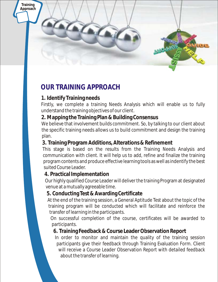

## **OUR TRAINING APPROACH**

#### **1. Identify Training needs**

Firstly, we complete a training Needs Analysis which will enable us to fully understand the training objectives of our client.

#### **2. Mapping the Training Plan & Building Consensus**

We believe that involvement builds commitment. So, by talking to our client about the specific training needs allows us to build commitment and design the training plan.

#### **3. Training Program Additions, Alterations & Refinement**

This stage is based on the results from the Training Needs Analysis and communication with client. It will help us to add, refine and finalize the training program contents and produce effective learning tools as well as indentify the best suited Course Leader.

#### **4. Practical Implementation**

Our highly qualified Course Leader will deliver the training Program at designated venue at a mutually agreeable time.

#### **5. Conducting Test & Awarding Certificate**

At the end of the training session, a General Aptitude Test about the topic of the training program will be conducted which will facilitate and reinforce the transfer of learning in the participants.

On successful completion of the course, certificates will be awarded to participants.

#### **6. Training Feedback & Course Leader Observation Report**

In order to monitor and maintain the quality of the training session participants give their feedback through Training Evaluation Form. Client will receive a Course Leader Observation Report with detailed feedback about the transfer of learning.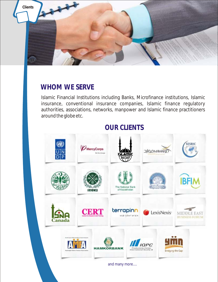

### **WHOM WE SERVE**

Islamic Financial Institutions including Banks, Microfinance institutions, Islamic insurance, conventional insurance companies, Islamic finance regulatory authorities, associations, networks, manpower and Islamic finance practitioners around the globe etc.

### **OUR CLIENTS**

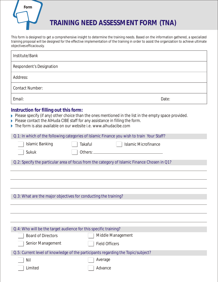

This form is designed to get a comprehensive insight to determine the training needs. Based on the information gathered, a specialized training proposal will be designed for the effective implementation of the training in order to assist the organization to achieve ultimate objectives efficaciously.

| Institute/Bank                                                                                              |                                                                                                                                                                                                                                                                                     |  |
|-------------------------------------------------------------------------------------------------------------|-------------------------------------------------------------------------------------------------------------------------------------------------------------------------------------------------------------------------------------------------------------------------------------|--|
| <b>Respondent's Designation</b>                                                                             |                                                                                                                                                                                                                                                                                     |  |
| Address:                                                                                                    |                                                                                                                                                                                                                                                                                     |  |
| <b>Contact Number:</b>                                                                                      |                                                                                                                                                                                                                                                                                     |  |
| Email:                                                                                                      | Date:                                                                                                                                                                                                                                                                               |  |
| Instruction for filling out this form:<br>The form is also available on our website i.e. www.alhudacibe.com | Please specify (if any) other choice than the ones mentioned in the list in the empty space provided.<br>Please contact the AlHuda CIBE staff for any assistance in filling the form.<br>Q.1: In which of the following categories of Islamic Finance you wish to train Your Staff? |  |
|                                                                                                             |                                                                                                                                                                                                                                                                                     |  |
| <b>Islamic Banking</b>                                                                                      | <b>Takaful</b><br><b>Islamic Microfinance</b>                                                                                                                                                                                                                                       |  |
| Sukuk                                                                                                       |                                                                                                                                                                                                                                                                                     |  |
| Q.2: Specify the particular area of focus from the category of Islamic Finance Chosen in Q1?                |                                                                                                                                                                                                                                                                                     |  |
| Q.3: What are the major objectives for conducting the training?                                             |                                                                                                                                                                                                                                                                                     |  |
|                                                                                                             |                                                                                                                                                                                                                                                                                     |  |
| Q.4: Who will be the target audience for this specific training?                                            |                                                                                                                                                                                                                                                                                     |  |
| Middle Management<br><b>Board of Directors</b>                                                              |                                                                                                                                                                                                                                                                                     |  |
| Senior Management                                                                                           | <b>Field Officers</b>                                                                                                                                                                                                                                                               |  |
|                                                                                                             |                                                                                                                                                                                                                                                                                     |  |

Q.5: Current level of knowledge of the participants regarding the Topic/subject?

Average

Limited

Nil

Advance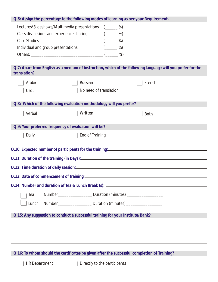**Q.6: Assign the percentage to the following modes of learning as per your Requirement.**

| Lectures/Slideshows/Multimedia presentations (_____ | $\%$ |
|-----------------------------------------------------|------|
| Class discussions and experience sharing            | %)   |
| Case Studies                                        | $\%$ |
| Individual and group presentations                  | $\%$ |
| Others:                                             | %)   |

**Q.7: Apart from English as a medium of instruction, which of the following language will you prefer for the translation?** 

| u di islativi i :                                                                           |                                                                                  |  |
|---------------------------------------------------------------------------------------------|----------------------------------------------------------------------------------|--|
| Arabic                                                                                      | Russian<br>French                                                                |  |
| Urdu                                                                                        | No need of translation                                                           |  |
|                                                                                             | Q.8: Which of the following evaluation methodology will you prefer?              |  |
| Verbal                                                                                      | Written<br><b>Both</b>                                                           |  |
| Q.9: Your preferred frequency of evaluation will be?                                        |                                                                                  |  |
| Daily                                                                                       | End of Training                                                                  |  |
|                                                                                             | Q.10: Expected number of participants for the training: ________________________ |  |
|                                                                                             |                                                                                  |  |
|                                                                                             |                                                                                  |  |
|                                                                                             |                                                                                  |  |
|                                                                                             |                                                                                  |  |
| Tea                                                                                         | Number_________________________ Duration (minutes) _______________________       |  |
| Lunch                                                                                       | Number________________________ Duration (minutes) ______________________________ |  |
|                                                                                             | Q.15: Any suggestion to conduct a successful training for your Institute/Bank?   |  |
|                                                                                             |                                                                                  |  |
|                                                                                             |                                                                                  |  |
|                                                                                             |                                                                                  |  |
|                                                                                             |                                                                                  |  |
| Q.16: To whom should the certificates be given after the successful completion of Training? |                                                                                  |  |
| <b>HR Department</b>                                                                        | Directly to the participants                                                     |  |